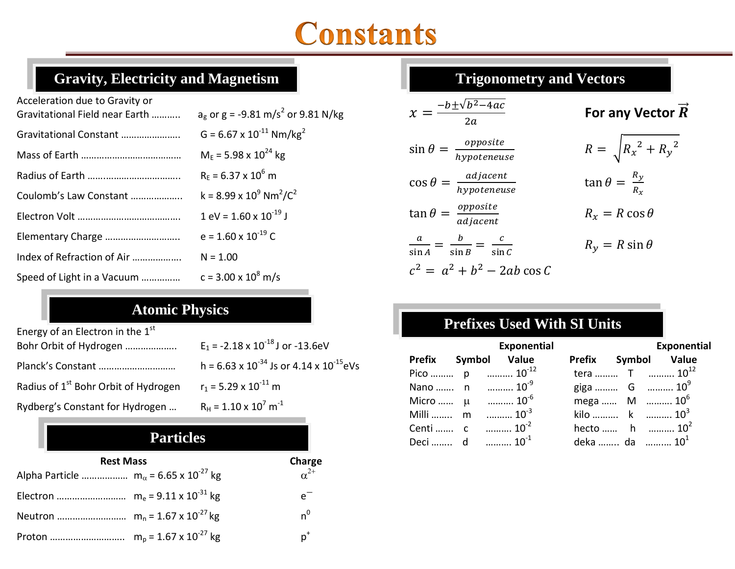## **Constants**

| Acceleration due to Gravity or<br>Gravitational Field near Earth | $a_e$ or g = -9.81 m/s <sup>2</sup> or 9.81 N/kg       |
|------------------------------------------------------------------|--------------------------------------------------------|
| Gravitational Constant                                           | $G = 6.67 \times 10^{-11}$ Nm/kg <sup>2</sup>          |
|                                                                  | $M_F$ = 5.98 x 10 <sup>24</sup> kg                     |
|                                                                  | $R_F = 6.37 \times 10^6$ m                             |
| Coulomb's Law Constant                                           | $k = 8.99 \times 10^9$ Nm <sup>2</sup> /C <sup>2</sup> |
|                                                                  | $1 \text{ eV} = 1.60 \times 10^{-19} \text{ J}$        |
| Elementary Charge                                                | $e = 1.60 \times 10^{-19}$ C                           |
| Index of Refraction of Air                                       | $N = 1.00$                                             |
| Speed of Light in a Vacuum                                       | $c = 3.00 \times 10^8$ m/s                             |

#### Atomic Physics **Atomic Physics**

| Energy of an Electron in the 1st<br>Bohr Orbit of Hydrogen | $E_1$ = -2.18 x 10 <sup>-18</sup> J or -13.6eV    |
|------------------------------------------------------------|---------------------------------------------------|
| Planck's Constant                                          | h = 6.63 x $10^{-34}$ Js or 4.14 x $10^{-15}$ eVs |
| Radius of 1 <sup>st</sup> Bohr Orbit of Hydrogen           | $r_1$ = 5.29 x 10 <sup>-11</sup> m                |
| Rydberg's Constant for Hydrogen                            | $R_H$ = 1.10 x 10 <sup>7</sup> m <sup>-1</sup>    |

| <b>Particles</b>                                          |               |
|-----------------------------------------------------------|---------------|
| <b>Rest Mass</b>                                          | Charge        |
| Alpha Particle $m_{\alpha}$ = 6.65 x 10 <sup>-27</sup> kg | $\alpha^{2+}$ |
|                                                           | $e^-$         |
|                                                           | $n^0$         |
|                                                           | $p^*$         |

#### **Trigonometry and Vectors**

$$
x = \frac{-b \pm \sqrt{b^2 - 4ac}}{2a}
$$

$$
\sin \theta = \frac{opposite}{hypoteneuse}
$$

$$
\cos \theta = \frac{adjacent}{hypoteneuse}
$$

$$
\tan \theta = \frac{\text{opposite}}{\text{adjacent}} \qquad R_x = R \cos \theta
$$

$$
\frac{a}{\sin A} = \frac{b}{\sin B} = \frac{c}{\sin C}
$$
  

$$
c^2 = a^2 + b^2 - 2ab \cos C
$$

$$
R_y = R \sin \theta
$$

 $\tan \theta = \frac{R}{R}$ 

**For any Vector**  $\vec{R}$ 

 $R = \int R_x^2 + R_y^2$ 

 $\boldsymbol{R}$ 

### Prefixes Used with SI Units **Prefixes Used With SI Units**

|  | <b>Exponential</b>           |  | Exponential                       |
|--|------------------------------|--|-----------------------------------|
|  | Prefix Symbol Value          |  | Prefix Symbol Value               |
|  | Pico  p $10^{-12}$           |  | tera  T $10^{12}$                 |
|  | Nano  n $10^{-9}$            |  | giga  G $10^9$                    |
|  | Micro $\mu$ 10 <sup>-6</sup> |  | mega  M $10^6$                    |
|  | Milli  m $10^{-3}$           |  | kilo $\ldots$ k $10^3$            |
|  |                              |  | hecto  h $10^2$                   |
|  | Deci  d $10^{-1}$            |  | deka  da $\ldots$ 10 <sup>1</sup> |